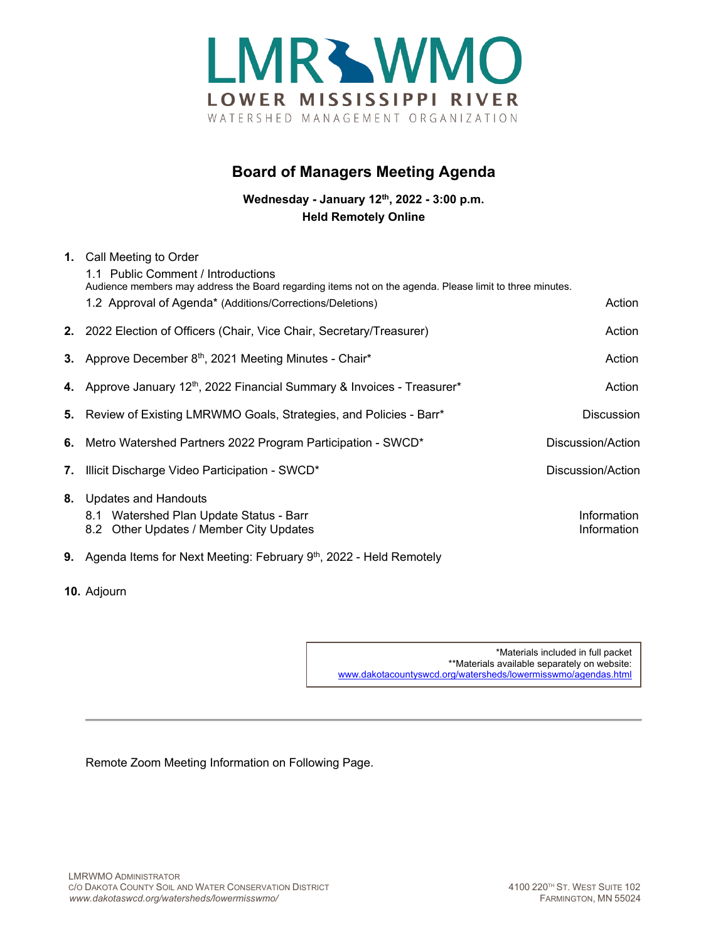

## **Board of Managers Meeting Agenda**

**Wednesday - January 12th, 2022 - 3:00 p.m. Held Remotely Online**

|    | 1. Call Meeting to Order<br>1.1 Public Comment / Introductions<br>Audience members may address the Board regarding items not on the agenda. Please limit to three minutes. |                            |
|----|----------------------------------------------------------------------------------------------------------------------------------------------------------------------------|----------------------------|
|    | 1.2 Approval of Agenda* (Additions/Corrections/Deletions)                                                                                                                  | Action                     |
|    | 2. 2022 Election of Officers (Chair, Vice Chair, Secretary/Treasurer)                                                                                                      | Action                     |
|    | 3. Approve December 8th, 2021 Meeting Minutes - Chair*                                                                                                                     | Action                     |
|    | 4. Approve January 12 <sup>th</sup> , 2022 Financial Summary & Invoices - Treasurer*                                                                                       | Action                     |
|    | 5. Review of Existing LMRWMO Goals, Strategies, and Policies - Barr*                                                                                                       | <b>Discussion</b>          |
|    | 6. Metro Watershed Partners 2022 Program Participation - SWCD*                                                                                                             | Discussion/Action          |
| 7. | Illicit Discharge Video Participation - SWCD*                                                                                                                              | Discussion/Action          |
|    | 8. Updates and Handouts<br>8.1 Watershed Plan Update Status - Barr<br>8.2 Other Updates / Member City Updates                                                              | Information<br>Information |
|    | 9. Agenda Items for Next Meeting: February 9th, 2022 - Held Remotely                                                                                                       |                            |

**10.** Adjourn

\*Materials included in full packet \*\*Materials available separately on website: [www.dakotacountyswcd.org/watersheds/lowermisswmo/agendas.html](http://www.dakotacountyswcd.org/watersheds/lowermisswmo/agendas.html)

Remote Zoom Meeting Information on Following Page.